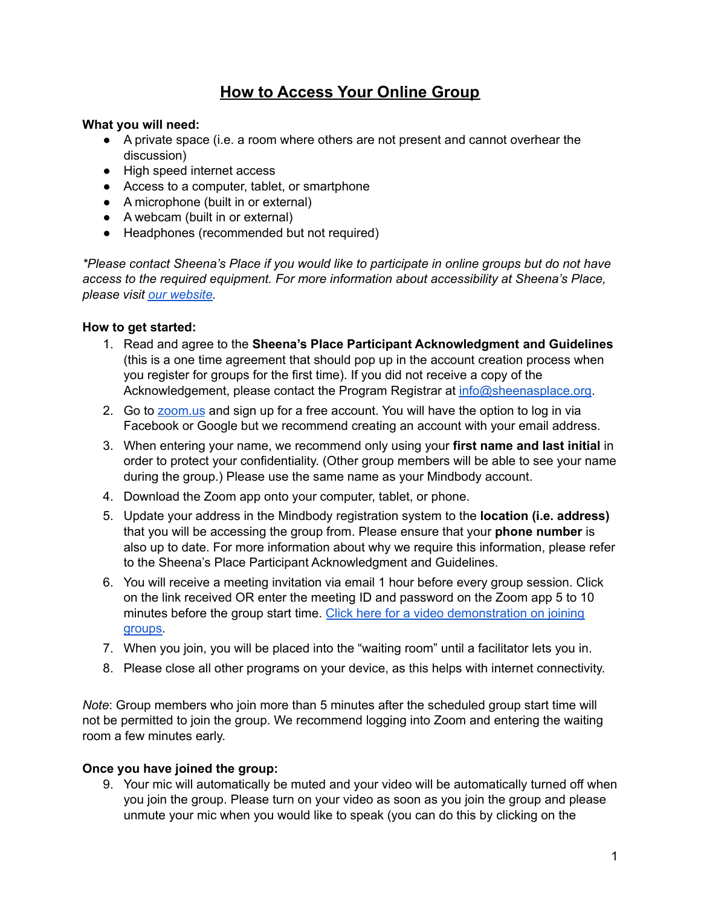## **How to Access Your Online Group**

## **What you will need:**

- A private space (i.e. a room where others are not present and cannot overhear the discussion)
- High speed internet access
- Access to a computer, tablet, or smartphone
- A microphone (built in or external)
- A webcam (built in or external)
- Headphones (recommended but not required)

*\*Please contact Sheena's Place if you would like to participate in online groups but do not have access to the required equipment. For more information about accessibility at Sheena's Place, please visit our [website.](https://sheenasplace.org/accessibility/)*

## **How to get started:**

- 1. Read and agree to the **Sheena's Place Participant Acknowledgment and Guidelines** (this is a one time agreement that should pop up in the account creation process when you register for groups for the first time). If you did not receive a copy of the Acknowledgement, please contact the Program Registrar at [info@sheenasplace.org.](mailto:info@sheenasplace.org)
- 2. Go to [zoom.us](https://zoom.us/) and sign up for a free account. You will have the option to log in via Facebook or Google but we recommend creating an account with your email address.
- 3. When entering your name, we recommend only using your **first name and last initial** in order to protect your confidentiality. (Other group members will be able to see your name during the group.) Please use the same name as your Mindbody account.
- 4. Download the Zoom app onto your computer, tablet, or phone.
- 5. Update your address in the Mindbody registration system to the **location (i.e. address)** that you will be accessing the group from. Please ensure that your **phone number** is also up to date. For more information about why we require this information, please refer to the Sheena's Place Participant Acknowledgment and Guidelines.
- 6. You will receive a meeting invitation via email 1 hour before every group session. Click on the link received OR enter the meeting ID and password on the Zoom app 5 to 10 minutes before the group start time. Click here for a video [demonstration](https://support.zoom.us/hc/en-us/articles/201362193-Joining-a-Meeting) on joining [groups.](https://support.zoom.us/hc/en-us/articles/201362193-Joining-a-Meeting)
- 7. When you join, you will be placed into the "waiting room" until a facilitator lets you in.
- 8. Please close all other programs on your device, as this helps with internet connectivity.

*Note*: Group members who join more than 5 minutes after the scheduled group start time will not be permitted to join the group. We recommend logging into Zoom and entering the waiting room a few minutes early.

## **Once you have joined the group:**

9. Your mic will automatically be muted and your video will be automatically turned off when you join the group. Please turn on your video as soon as you join the group and please unmute your mic when you would like to speak (you can do this by clicking on the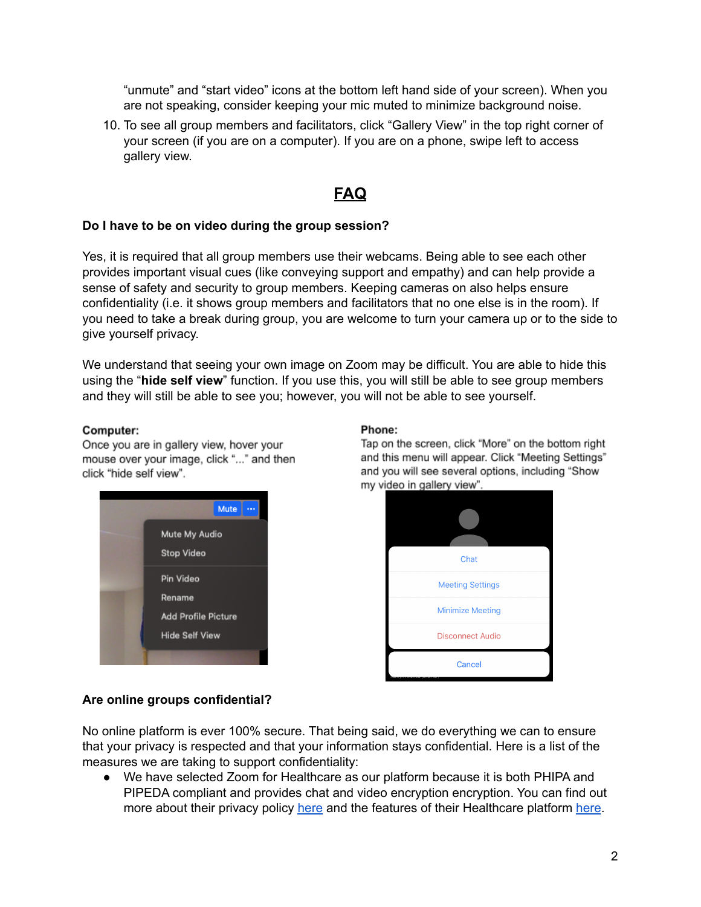"unmute" and "start video" icons at the bottom left hand side of your screen). When you are not speaking, consider keeping your mic muted to minimize background noise.

10. To see all group members and facilitators, click "Gallery View" in the top right corner of your screen (if you are on a computer). If you are on a phone, swipe left to access gallery view.

# **FAQ**

## **Do I have to be on video during the group session?**

Yes, it is required that all group members use their webcams. Being able to see each other provides important visual cues (like conveying support and empathy) and can help provide a sense of safety and security to group members. Keeping cameras on also helps ensure confidentiality (i.e. it shows group members and facilitators that no one else is in the room). If you need to take a break during group, you are welcome to turn your camera up or to the side to give yourself privacy.

We understand that seeing your own image on Zoom may be difficult. You are able to hide this using the "**hide self view**" function. If you use this, you will still be able to see group members and they will still be able to see you; however, you will not be able to see yourself.

#### Computer:

Once you are in gallery view, hover your mouse over your image, click "..." and then click "hide self view".



#### Phone:

Tap on the screen, click "More" on the bottom right and this menu will appear. Click "Meeting Settings" and you will see several options, including "Show my video in gallery view".



#### **Are online groups confidential?**

No online platform is ever 100% secure. That being said, we do everything we can to ensure that your privacy is respected and that your information stays confidential. Here is a list of the measures we are taking to support confidentiality:

● We have selected Zoom for Healthcare as our platform because it is both PHIPA and PIPEDA compliant and provides chat and video encryption encryption. You can find out more about their privacy policy [here](https://zoom.us/healthcare) and the features of their Healthcare platform here.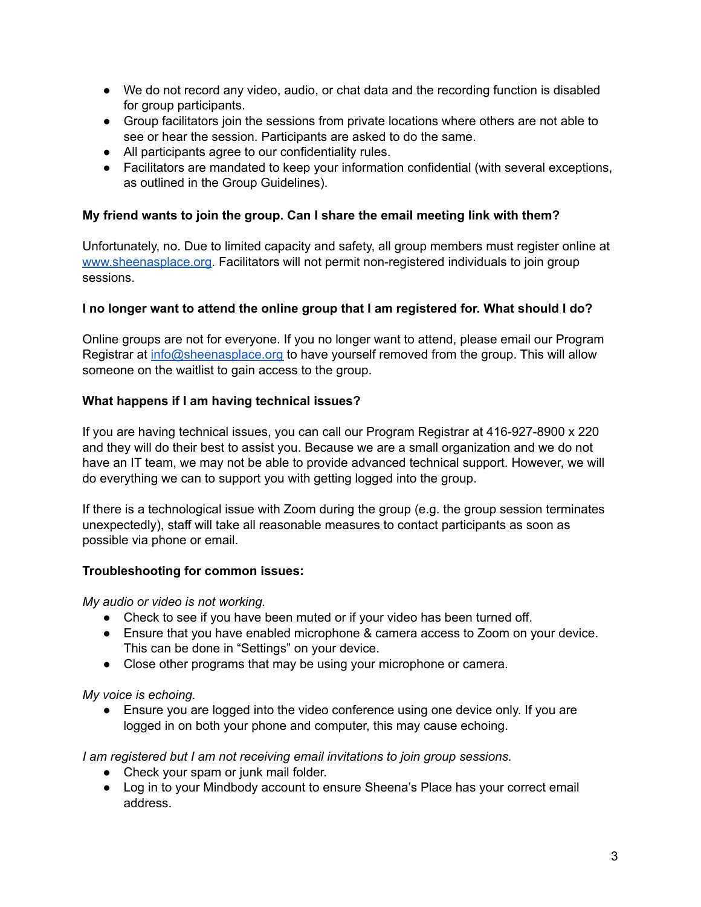- We do not record any video, audio, or chat data and the recording function is disabled for group participants.
- Group facilitators join the sessions from private locations where others are not able to see or hear the session. Participants are asked to do the same.
- All participants agree to our confidentiality rules.
- Facilitators are mandated to keep your information confidential (with several exceptions, as outlined in the Group Guidelines).

## **My friend wants to join the group. Can I share the email meeting link with them?**

Unfortunately, no. Due to limited capacity and safety, all group members must register online at [www.sheenasplace.org](http://www.sheenasplace.org). Facilitators will not permit non-registered individuals to join group sessions.

## **I no longer want to attend the online group that I am registered for. What should I do?**

Online groups are not for everyone. If you no longer want to attend, please email our Program Registrar at [info@sheenasplace.org](mailto:info@sheenasplace.org) to have yourself removed from the group. This will allow someone on the waitlist to gain access to the group.

## **What happens if I am having technical issues?**

If you are having technical issues, you can call our Program Registrar at 416-927-8900 x 220 and they will do their best to assist you. Because we are a small organization and we do not have an IT team, we may not be able to provide advanced technical support. However, we will do everything we can to support you with getting logged into the group.

If there is a technological issue with Zoom during the group (e.g. the group session terminates unexpectedly), staff will take all reasonable measures to contact participants as soon as possible via phone or email.

## **Troubleshooting for common issues:**

*My audio or video is not working.*

- Check to see if you have been muted or if your video has been turned off.
- Ensure that you have enabled microphone & camera access to Zoom on your device. This can be done in "Settings" on your device.
- Close other programs that may be using your microphone or camera.

## *My voice is echoing.*

• Ensure you are logged into the video conference using one device only. If you are logged in on both your phone and computer, this may cause echoing.

*I am registered but I am not receiving email invitations to join group sessions.*

- Check your spam or junk mail folder.
- Log in to your Mindbody account to ensure Sheena's Place has your correct email address.